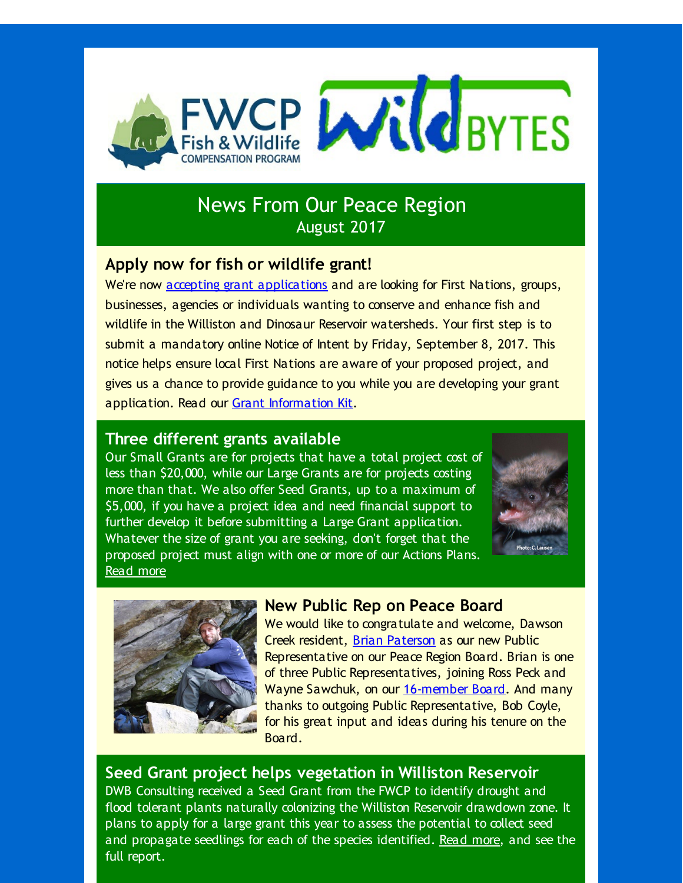

# News From Our Peace Region August 2017

### **Apply now for fish or wildlife grant!**

We're now accepting grant [applications](http://r20.rs6.net/tn.jsp?f=001ZyinRzzU3foTiFTifvClETF6P8d2I1B4J3QcjTJGEFtDEr_k8Cv9VteM5kzX1KYda5yIYPnEm0vPx-xlszYqPReZXeAg_6hHgbMVIBHrBPBBWlt9xkPFx365OkCXUcabS1NnT3oUJgAztbZfhCXZ1lmb8UjhHVo6dk3hPjFmM4-XaRZCwISbPrTYVnDa3LBq&c=&ch=) and are looking for First Nations, groups, businesses, agencies or individuals wanting to conserve and enhance fish and wildlife in the Williston and Dinosaur Reservoir watersheds. Your first step is to submit a mandatory online Notice of Intent by Friday, September 8, 2017. This notice helps ensure local First Nations are aware of your proposed project, and gives us a chance to provide guidance to you while you are developing your grant application. Read our Grant [Information](http://r20.rs6.net/tn.jsp?f=001ZyinRzzU3foTiFTifvClETF6P8d2I1B4J3QcjTJGEFtDEr_k8Cv9VgoqrvPeu7EPxVvQR3LiA0UrxB3ZQCVBBP6swXy4oCpMf4zuNIGZZlDGE0-WlEzICYsFRFI0xV2X-11gZhQnbcUHc0tFxz7GxxHYmK07AHhySO0Dt8uHYY34W3-jYd2Aw07C4k-2JWY4OtbCRLHklcsGyIMJI4QP_d2A7V6CQKAhpSFV9b7WtSZQ4usIwC1rulbnC65zJMImWA41YZ0-k8CaMH6PPoopGNZWGSa4BJAdTiYRUSMTWAI=&c=&ch=) Kit.

#### **Three different grants available**

Our Small Grants are for projects that have a total project cost of less than \$20,000, while our Large Grants are for projects costing more than that. We also offer Seed Grants, up to a maximum of \$5,000, if you have a project idea and need financial support to further develop it before submitting a Large Grant application. Whatever the size of grant you are seeking, don't forget that the proposed project must align with one or more of our Actions Plans. [Read](http://r20.rs6.net/tn.jsp?f=001ZyinRzzU3foTiFTifvClETF6P8d2I1B4J3QcjTJGEFtDEr_k8Cv9VgoqrvPeu7EPxVvQR3LiA0UrxB3ZQCVBBP6swXy4oCpMf4zuNIGZZlDGE0-WlEzICYsFRFI0xV2X-11gZhQnbcUHc0tFxz7GxxHYmK07AHhySO0Dt8uHYY34W3-jYd2Aw07C4k-2JWY4OtbCRLHklcsGyIMJI4QP_d2A7V6CQKAhpSFV9b7WtSZQ4usIwC1rulbnC65zJMImWA41YZ0-k8CaMH6PPoopGNZWGSa4BJAdTiYRUSMTWAI=&c=&ch=) more





## **New Public Rep on Peace Board**

We would like to congratulate and welcome, Dawson Creek resident, Brian [Paterson](http://r20.rs6.net/tn.jsp?f=001ZyinRzzU3foTiFTifvClETF6P8d2I1B4J3QcjTJGEFtDEr_k8Cv9VgoqrvPeu7EPDbeZIQYbC7Ih1Bmo13aEQ_An3EBg-q-yPYT3pxku377rYLcTprk4g7I2jtrMdMLaHNdYNpPsOGSljnaX2CE0LuL3YVDhTXC9tENdq7y06C-O2ccA7z9EIK3nmm5uxx9MELCPZDuhBQY=&c=&ch=) as our new Public Representative on our Peace Region Board. Brian is one of three Public Representatives, joining Ross Peck and Wayne Sawchuk, on our [16-member](http://r20.rs6.net/tn.jsp?f=001ZyinRzzU3foTiFTifvClETF6P8d2I1B4J3QcjTJGEFtDEr_k8Cv9VgoqrvPeu7EPvnQea8F7mNHcBysBvVTGBpOD2qJVofS8SSk1Z0iQeu16LBouP7ggYbGranoJcfl9FGZ8XUX--Pp-c08cqXztINovdiTh6Jeimd-7VGaoVb27ZxjfluPeCI6-UjibiI1bVpBx5FyKbLpznWQrTLutqoZQ_oj2RNwKLjsJLNJG_1qPZxcqslmJqORzrkvbtnsLYveRpMgCJtHbg4MD1Gsc2XaMqUW90OBW&c=&ch=) Board. And many thanks to outgoing Public Representative, Bob Coyle, for his great input and ideas during his tenure on the Board.

#### **Seed Grant project helps vegetation in Williston Reservoir**

DWB Consulting received a Seed Grant from the FWCP to identify drought and flood tolerant plants naturally colonizing the Williston Reservoir drawdown zone. It plans to apply for a large grant this year to assess the potential to collect seed and propagate seedlings for each of the species identified. [Read](http://r20.rs6.net/tn.jsp?f=001ZyinRzzU3foTiFTifvClETF6P8d2I1B4J3QcjTJGEFtDEr_k8Cv9VgoqrvPeu7EPrUHL0zz1MPeaJvZaTduNgRhgyb3e8U0Yzx2K1LuL97DGGV4R-Vv-I2YF862trKFO8aLB22REYyV2SBfUcsBdXLeQJVqevb1lCewyBUWM7SisNDrIxKmb6Wd2ldPMKVOc8NMld8PkRdhhLP4gtY83kg==&c=&ch=) more, and see the full report.